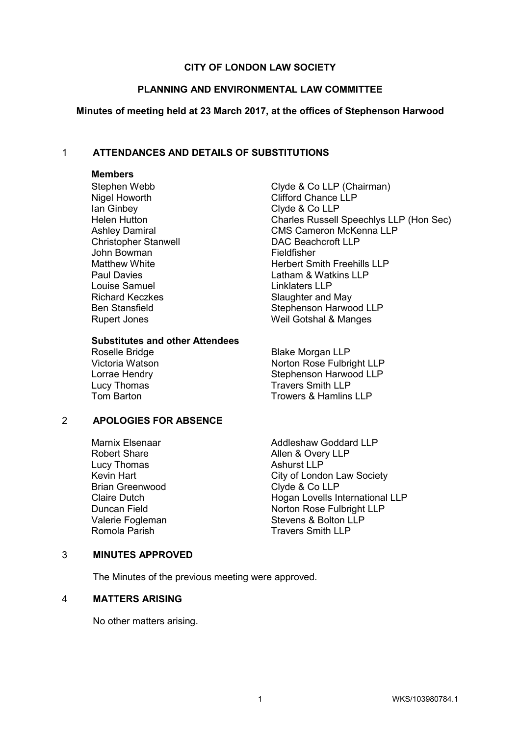# **CITY OF LONDON LAW SOCIETY**

#### **PLANNING AND ENVIRONMENTAL LAW COMMITTEE**

#### **Minutes of meeting held at 23 March 2017, at the offices of Stephenson Harwood**

## 1 **ATTENDANCES AND DETAILS OF SUBSTITUTIONS**

#### **Members**

Nigel Howorth Clifford Chance LLP Ian Ginbey Clyde & Co LLP John Bowman<br>
Matthew White<br>
Matthew White Louise Samuel **Linklaters** LLP Richard Keczkes Slaughter and May Rupert Jones Weil Gotshal & Manges

# **Substitutes and other Attendees**

Lucy Thomas<br>
Travers Smith LLP<br>
Trowers & Hamlins

#### 2 **APOLOGIES FOR ABSENCE**

Lucy Thomas Brian Greenwood Clyde & Co LLP

Stephen Webb Clyde & Co LLP (Chairman) Helen Hutton Charles Russell Speechlys LLP (Hon Sec) Ashley Damiral CMS Cameron McKenna LLP Christopher Stanwell DAC Beachcroft LLP Herbert Smith Freehills LLP Paul Davies **Latham & Watkins LLP** Ben Stansfield Stephenson Harwood LLP

**Blake Morgan LLP** Victoria Watson Norton Rose Fulbright LLP Lorrae Hendry **Stephenson Harwood LLP** Trowers & Hamlins LLP

Marnix Elsenaar **Addleshaw Goddard LLP** Robert Share **Allen & Overy LLP**<br>
Lucy Thomas **Allen & Overy LLP** Kevin Hart **City of London Law Society** Claire Dutch **Hogan Lovells International LLP** Duncan Field Norton Rose Fulbright LLP Valerie Fogleman Stevens & Bolton LLP<br>
Romola Parish Stevens Smith LLP **Travers Smith LLP** 

#### 3 **MINUTES APPROVED**

The Minutes of the previous meeting were approved.

# 4 **MATTERS ARISING**

No other matters arising.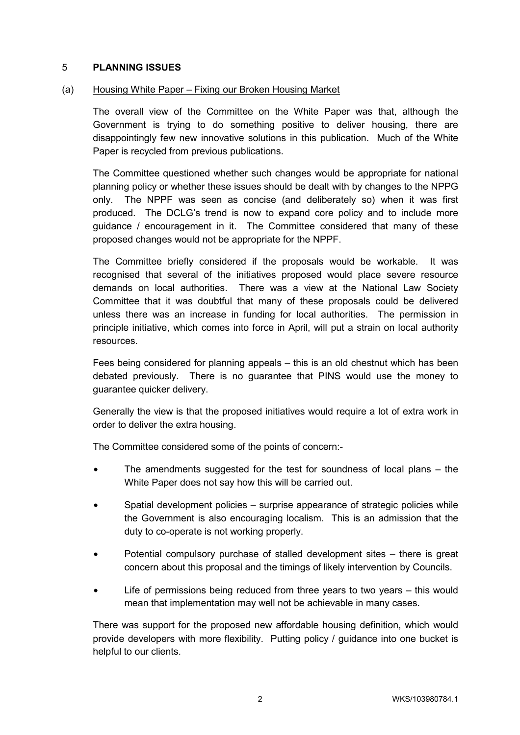# 5 **PLANNING ISSUES**

# (a) Housing White Paper – Fixing our Broken Housing Market

The overall view of the Committee on the White Paper was that, although the Government is trying to do something positive to deliver housing, there are disappointingly few new innovative solutions in this publication. Much of the White Paper is recycled from previous publications.

The Committee questioned whether such changes would be appropriate for national planning policy or whether these issues should be dealt with by changes to the NPPG only. The NPPF was seen as concise (and deliberately so) when it was first produced. The DCLG's trend is now to expand core policy and to include more guidance / encouragement in it. The Committee considered that many of these proposed changes would not be appropriate for the NPPF.

The Committee briefly considered if the proposals would be workable. It was recognised that several of the initiatives proposed would place severe resource demands on local authorities. There was a view at the National Law Society Committee that it was doubtful that many of these proposals could be delivered unless there was an increase in funding for local authorities. The permission in principle initiative, which comes into force in April, will put a strain on local authority resources.

Fees being considered for planning appeals – this is an old chestnut which has been debated previously. There is no guarantee that PINS would use the money to guarantee quicker delivery.

Generally the view is that the proposed initiatives would require a lot of extra work in order to deliver the extra housing.

The Committee considered some of the points of concern:-

- The amendments suggested for the test for soundness of local plans the White Paper does not say how this will be carried out.
- Spatial development policies surprise appearance of strategic policies while the Government is also encouraging localism. This is an admission that the duty to co-operate is not working properly.
- Potential compulsory purchase of stalled development sites there is great concern about this proposal and the timings of likely intervention by Councils.
- Life of permissions being reduced from three years to two years this would mean that implementation may well not be achievable in many cases.

There was support for the proposed new affordable housing definition, which would provide developers with more flexibility. Putting policy / guidance into one bucket is helpful to our clients.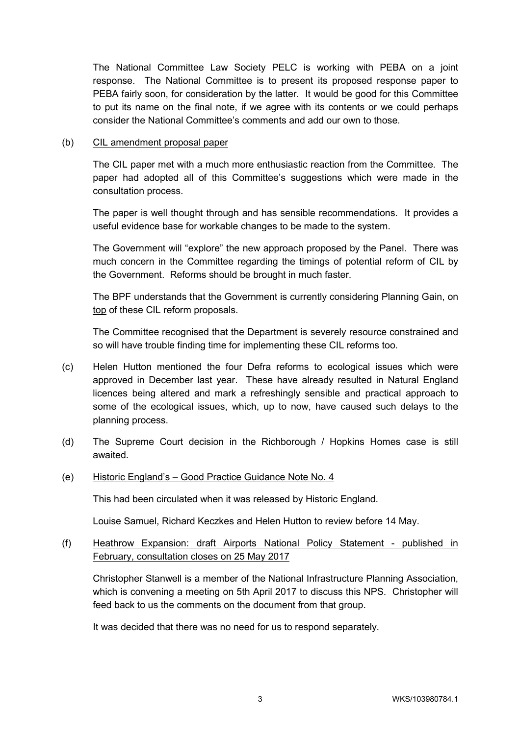The National Committee Law Society PELC is working with PEBA on a joint response. The National Committee is to present its proposed response paper to PEBA fairly soon, for consideration by the latter. It would be good for this Committee to put its name on the final note, if we agree with its contents or we could perhaps consider the National Committee's comments and add our own to those.

# (b) CIL amendment proposal paper

The CIL paper met with a much more enthusiastic reaction from the Committee. The paper had adopted all of this Committee's suggestions which were made in the consultation process.

The paper is well thought through and has sensible recommendations. It provides a useful evidence base for workable changes to be made to the system.

The Government will "explore" the new approach proposed by the Panel. There was much concern in the Committee regarding the timings of potential reform of CIL by the Government. Reforms should be brought in much faster.

The BPF understands that the Government is currently considering Planning Gain, on top of these CIL reform proposals.

The Committee recognised that the Department is severely resource constrained and so will have trouble finding time for implementing these CIL reforms too.

- (c) Helen Hutton mentioned the four Defra reforms to ecological issues which were approved in December last year. These have already resulted in Natural England licences being altered and mark a refreshingly sensible and practical approach to some of the ecological issues, which, up to now, have caused such delays to the planning process.
- (d) The Supreme Court decision in the Richborough / Hopkins Homes case is still awaited.

# (e) Historic England's – Good Practice Guidance Note No. 4

This had been circulated when it was released by Historic England.

Louise Samuel, Richard Keczkes and Helen Hutton to review before 14 May.

# (f) Heathrow Expansion: draft Airports National Policy Statement - published in February, consultation closes on 25 May 2017

Christopher Stanwell is a member of the National Infrastructure Planning Association, which is convening a meeting on 5th April 2017 to discuss this NPS. Christopher will feed back to us the comments on the document from that group.

It was decided that there was no need for us to respond separately.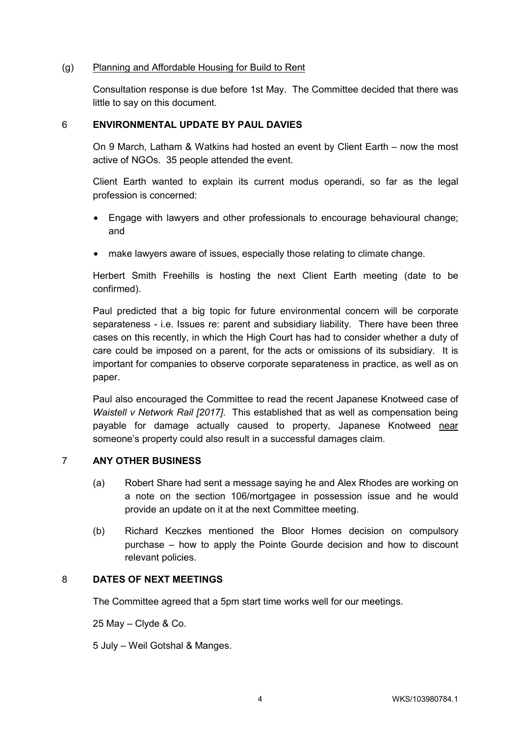# (g) Planning and Affordable Housing for Build to Rent

Consultation response is due before 1st May. The Committee decided that there was little to say on this document.

# 6 **ENVIRONMENTAL UPDATE BY PAUL DAVIES**

On 9 March, Latham & Watkins had hosted an event by Client Earth – now the most active of NGOs. 35 people attended the event.

Client Earth wanted to explain its current modus operandi, so far as the legal profession is concerned:

- Engage with lawyers and other professionals to encourage behavioural change; and
- make lawyers aware of issues, especially those relating to climate change.

Herbert Smith Freehills is hosting the next Client Earth meeting (date to be confirmed).

Paul predicted that a big topic for future environmental concern will be corporate separateness - i.e. Issues re: parent and subsidiary liability. There have been three cases on this recently, in which the High Court has had to consider whether a duty of care could be imposed on a parent, for the acts or omissions of its subsidiary. It is important for companies to observe corporate separateness in practice, as well as on paper.

Paul also encouraged the Committee to read the recent Japanese Knotweed case of *Waistell v Network Rail [2017]*. This established that as well as compensation being payable for damage actually caused to property, Japanese Knotweed near someone's property could also result in a successful damages claim.

# 7 **ANY OTHER BUSINESS**

- (a) Robert Share had sent a message saying he and Alex Rhodes are working on a note on the section 106/mortgagee in possession issue and he would provide an update on it at the next Committee meeting.
- (b) Richard Keczkes mentioned the Bloor Homes decision on compulsory purchase – how to apply the Pointe Gourde decision and how to discount relevant policies.

# 8 **DATES OF NEXT MEETINGS**

The Committee agreed that a 5pm start time works well for our meetings.

25 May – Clyde & Co.

5 July – Weil Gotshal & Manges.